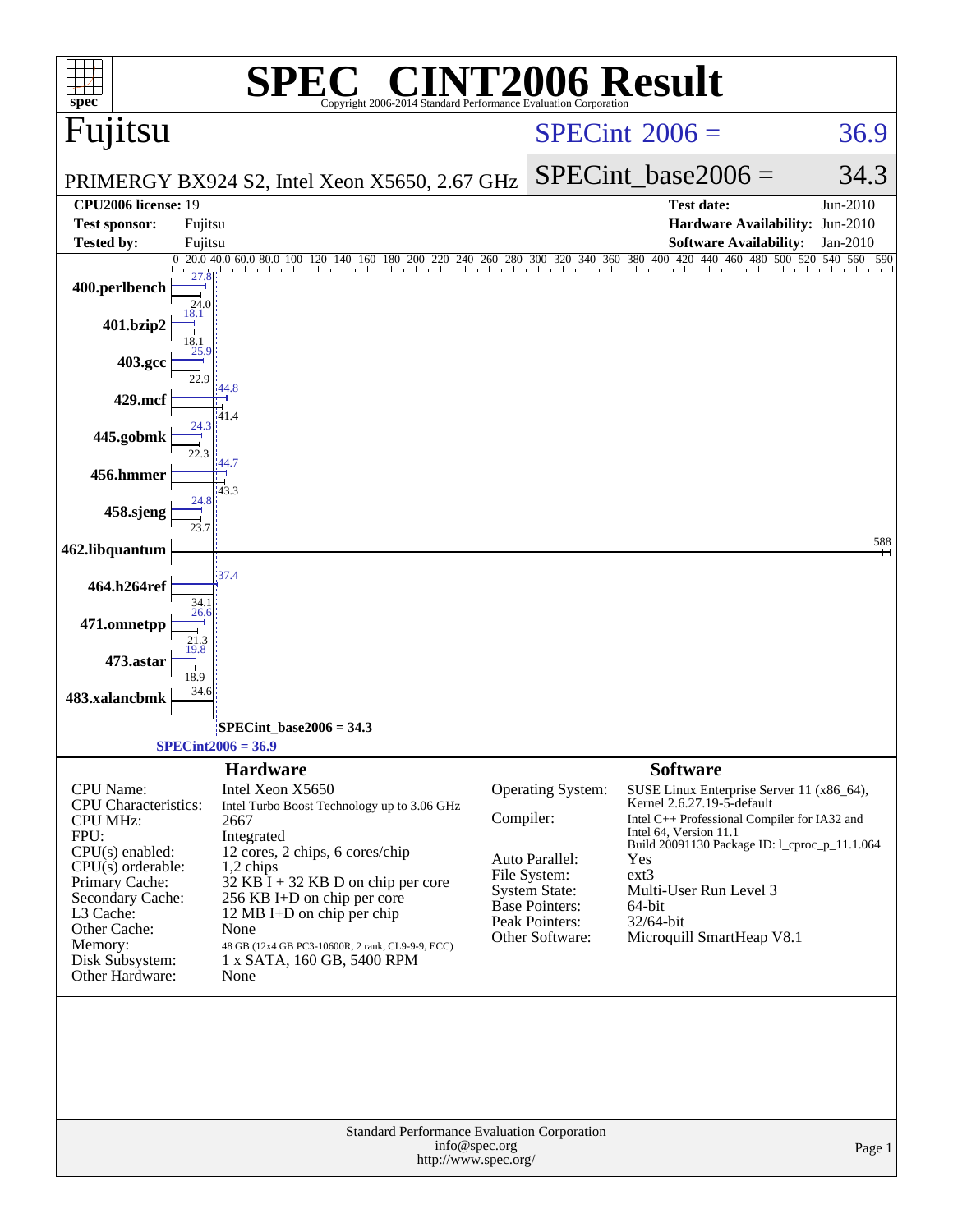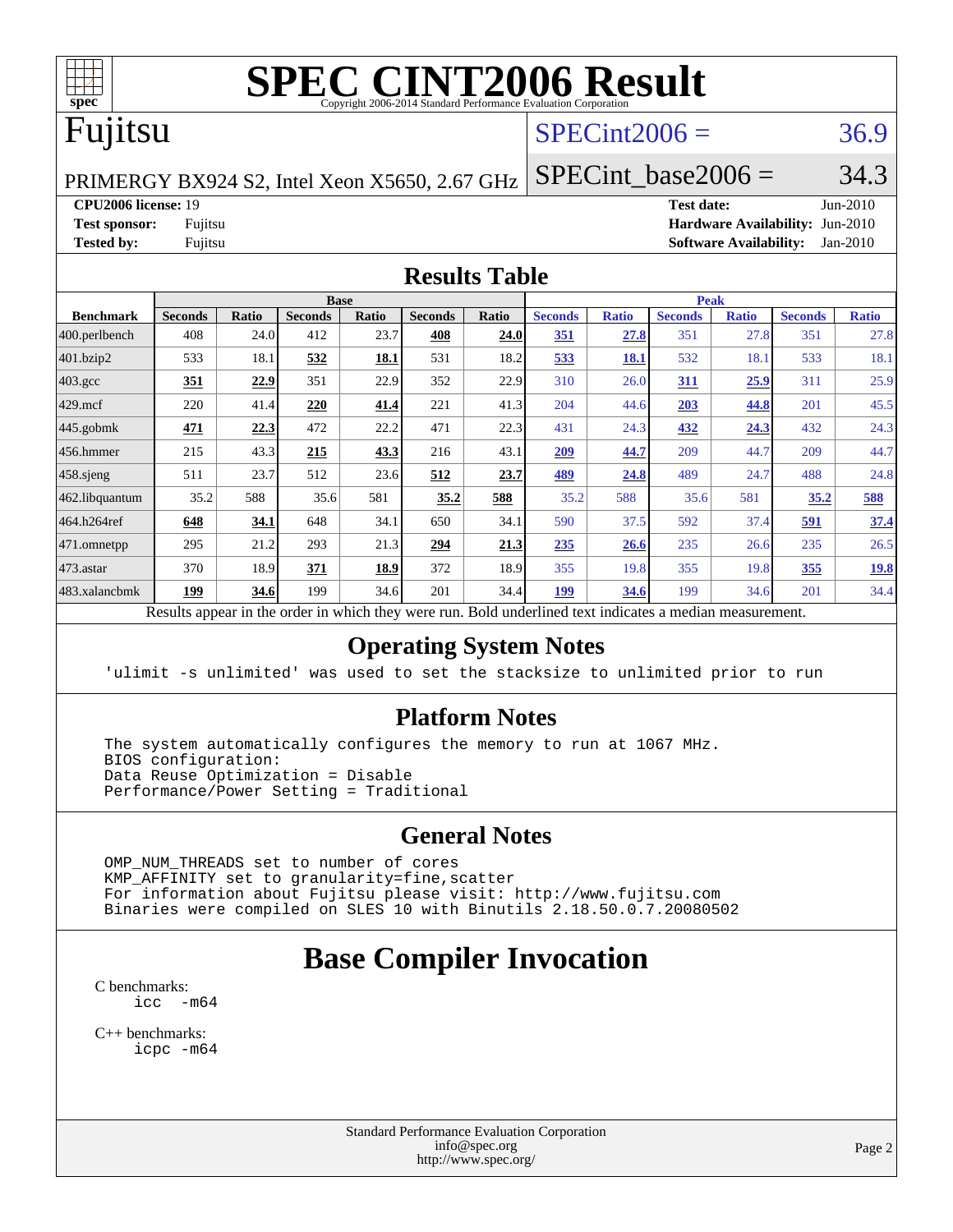

# **[SPEC CINT2006 Result](http://www.spec.org/auto/cpu2006/Docs/result-fields.html#SPECCINT2006Result)**

# Fujitsu

## $SPECint2006 = 36.9$  $SPECint2006 = 36.9$

PRIMERGY BX924 S2, Intel Xeon X5650, 2.67 GHz

SPECint base2006 =  $34.3$ 

#### **[CPU2006 license:](http://www.spec.org/auto/cpu2006/Docs/result-fields.html#CPU2006license)** 19 **[Test date:](http://www.spec.org/auto/cpu2006/Docs/result-fields.html#Testdate)** Jun-2010

**[Test sponsor:](http://www.spec.org/auto/cpu2006/Docs/result-fields.html#Testsponsor)** Fujitsu **[Hardware Availability:](http://www.spec.org/auto/cpu2006/Docs/result-fields.html#HardwareAvailability)** Jun-2010 **[Tested by:](http://www.spec.org/auto/cpu2006/Docs/result-fields.html#Testedby)** Fujitsu **[Software Availability:](http://www.spec.org/auto/cpu2006/Docs/result-fields.html#SoftwareAvailability)** Jan-2010

### **[Results Table](http://www.spec.org/auto/cpu2006/Docs/result-fields.html#ResultsTable)**

|                    |                |              |                | <b>Base</b><br><b>Peak</b> |                |       |                |              |                |              |                |              |
|--------------------|----------------|--------------|----------------|----------------------------|----------------|-------|----------------|--------------|----------------|--------------|----------------|--------------|
| <b>Benchmark</b>   | <b>Seconds</b> | <b>Ratio</b> | <b>Seconds</b> | <b>Ratio</b>               | <b>Seconds</b> | Ratio | <b>Seconds</b> | <b>Ratio</b> | <b>Seconds</b> | <b>Ratio</b> | <b>Seconds</b> | <b>Ratio</b> |
| 400.perlbench      | 408            | 24.0         | 412            | 23.7                       | 408            | 24.0  | <u>351</u>     | 27.8         | 351            | 27.8         | 351            | 27.8         |
| 401.bzip2          | 533            | 18.1         | 532            | 18.1                       | 531            | 18.2  | 533            | 18.1         | 532            | 18.1         | 533            | 18.1         |
| $403.\mathrm{gcc}$ | 351            | 22.9         | 351            | 22.9                       | 352            | 22.9  | 310            | 26.0         | 311            | 25.9         | 311            | 25.9         |
| $429$ mcf          | 220            | 41.4         | 220            | 41.4                       | 221            | 41.3  | 204            | 44.6         | 203            | 44.8         | 201            | 45.5         |
| 445.gobmk          | 471            | 22.3         | 472            | 22.2                       | 471            | 22.3  | 431            | 24.3         | 432            | 24.3         | 432            | 24.3         |
| $ 456$ .hmmer      | 215            | 43.3         | 215            | 43.3                       | 216            | 43.1  | 209            | 44.7         | 209            | 44.7         | 209            | 44.7         |
| $458$ .sjeng       | 511            | 23.7         | 512            | 23.6                       | 512            | 23.7  | <u>489</u>     | 24.8         | 489            | 24.7         | 488            | 24.8         |
| 462.libquantum     | 35.2           | 588          | 35.6           | 581                        | 35.2           | 588   | 35.2           | 588          | 35.6           | 581          | 35.2           | 588          |
| 464.h264ref        | 648            | 34.1         | 648            | 34.1                       | 650            | 34.1  | 590            | 37.5         | 592            | 37.4         | 591            | 37.4         |
| 471.omnetpp        | 295            | 21.2         | 293            | 21.3                       | 294            | 21.3  | 235            | 26.6         | 235            | 26.6         | 235            | 26.5         |
| $473$ . astar      | 370            | 18.9         | 371            | 18.9                       | 372            | 18.9  | 355            | 19.8         | 355            | 19.8         | 355            | 19.8         |
| 483.xalancbmk      | <u>199</u>     | 34.6         | 199            | 34.6                       | 201            | 34.4  | 199            | 34.6         | 199            | 34.6         | 201            | 34.4         |

Results appear in the [order in which they were run.](http://www.spec.org/auto/cpu2006/Docs/result-fields.html#RunOrder) Bold underlined text [indicates a median measurement.](http://www.spec.org/auto/cpu2006/Docs/result-fields.html#Median)

### **[Operating System Notes](http://www.spec.org/auto/cpu2006/Docs/result-fields.html#OperatingSystemNotes)**

'ulimit -s unlimited' was used to set the stacksize to unlimited prior to run

#### **[Platform Notes](http://www.spec.org/auto/cpu2006/Docs/result-fields.html#PlatformNotes)**

 The system automatically configures the memory to run at 1067 MHz. BIOS configuration: Data Reuse Optimization = Disable Performance/Power Setting = Traditional

### **[General Notes](http://www.spec.org/auto/cpu2006/Docs/result-fields.html#GeneralNotes)**

 OMP\_NUM\_THREADS set to number of cores KMP\_AFFINITY set to granularity=fine,scatter For information about Fujitsu please visit: <http://www.fujitsu.com> Binaries were compiled on SLES 10 with Binutils 2.18.50.0.7.20080502

# **[Base Compiler Invocation](http://www.spec.org/auto/cpu2006/Docs/result-fields.html#BaseCompilerInvocation)**

[C benchmarks](http://www.spec.org/auto/cpu2006/Docs/result-fields.html#Cbenchmarks): [icc -m64](http://www.spec.org/cpu2006/results/res2010q3/cpu2006-20100618-11744.flags.html#user_CCbase_intel_icc_64bit_f346026e86af2a669e726fe758c88044)

[C++ benchmarks:](http://www.spec.org/auto/cpu2006/Docs/result-fields.html#CXXbenchmarks) [icpc -m64](http://www.spec.org/cpu2006/results/res2010q3/cpu2006-20100618-11744.flags.html#user_CXXbase_intel_icpc_64bit_fc66a5337ce925472a5c54ad6a0de310)

> Standard Performance Evaluation Corporation [info@spec.org](mailto:info@spec.org) <http://www.spec.org/>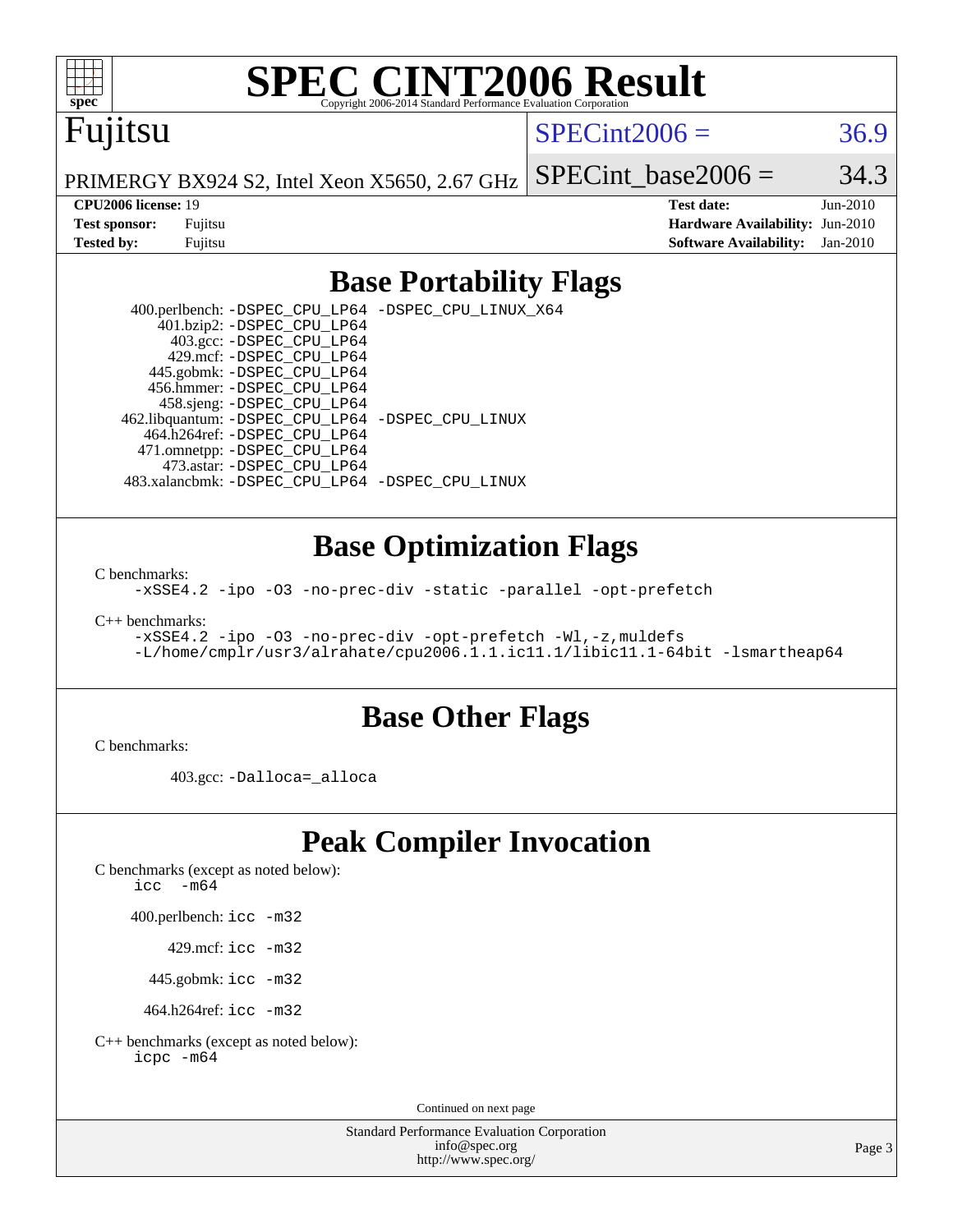

# **[SPEC CINT2006 Result](http://www.spec.org/auto/cpu2006/Docs/result-fields.html#SPECCINT2006Result)**

# Fujitsu

 $SPECint2006 = 36.9$  $SPECint2006 = 36.9$ 

PRIMERGY BX924 S2, Intel Xeon X5650, 2.67 GHz SPECint base2006 =  $34.3$ 

**[CPU2006 license:](http://www.spec.org/auto/cpu2006/Docs/result-fields.html#CPU2006license)** 19 **[Test date:](http://www.spec.org/auto/cpu2006/Docs/result-fields.html#Testdate)** Jun-2010 **[Test sponsor:](http://www.spec.org/auto/cpu2006/Docs/result-fields.html#Testsponsor)** Fujitsu **[Hardware Availability:](http://www.spec.org/auto/cpu2006/Docs/result-fields.html#HardwareAvailability)** Jun-2010 **[Tested by:](http://www.spec.org/auto/cpu2006/Docs/result-fields.html#Testedby)** Fujitsu **[Software Availability:](http://www.spec.org/auto/cpu2006/Docs/result-fields.html#SoftwareAvailability)** Jan-2010

## **[Base Portability Flags](http://www.spec.org/auto/cpu2006/Docs/result-fields.html#BasePortabilityFlags)**

 400.perlbench: [-DSPEC\\_CPU\\_LP64](http://www.spec.org/cpu2006/results/res2010q3/cpu2006-20100618-11744.flags.html#b400.perlbench_basePORTABILITY_DSPEC_CPU_LP64) [-DSPEC\\_CPU\\_LINUX\\_X64](http://www.spec.org/cpu2006/results/res2010q3/cpu2006-20100618-11744.flags.html#b400.perlbench_baseCPORTABILITY_DSPEC_CPU_LINUX_X64) 401.bzip2: [-DSPEC\\_CPU\\_LP64](http://www.spec.org/cpu2006/results/res2010q3/cpu2006-20100618-11744.flags.html#suite_basePORTABILITY401_bzip2_DSPEC_CPU_LP64) 403.gcc: [-DSPEC\\_CPU\\_LP64](http://www.spec.org/cpu2006/results/res2010q3/cpu2006-20100618-11744.flags.html#suite_basePORTABILITY403_gcc_DSPEC_CPU_LP64) 429.mcf: [-DSPEC\\_CPU\\_LP64](http://www.spec.org/cpu2006/results/res2010q3/cpu2006-20100618-11744.flags.html#suite_basePORTABILITY429_mcf_DSPEC_CPU_LP64) 445.gobmk: [-DSPEC\\_CPU\\_LP64](http://www.spec.org/cpu2006/results/res2010q3/cpu2006-20100618-11744.flags.html#suite_basePORTABILITY445_gobmk_DSPEC_CPU_LP64) 456.hmmer: [-DSPEC\\_CPU\\_LP64](http://www.spec.org/cpu2006/results/res2010q3/cpu2006-20100618-11744.flags.html#suite_basePORTABILITY456_hmmer_DSPEC_CPU_LP64) 458.sjeng: [-DSPEC\\_CPU\\_LP64](http://www.spec.org/cpu2006/results/res2010q3/cpu2006-20100618-11744.flags.html#suite_basePORTABILITY458_sjeng_DSPEC_CPU_LP64) 462.libquantum: [-DSPEC\\_CPU\\_LP64](http://www.spec.org/cpu2006/results/res2010q3/cpu2006-20100618-11744.flags.html#suite_basePORTABILITY462_libquantum_DSPEC_CPU_LP64) [-DSPEC\\_CPU\\_LINUX](http://www.spec.org/cpu2006/results/res2010q3/cpu2006-20100618-11744.flags.html#b462.libquantum_baseCPORTABILITY_DSPEC_CPU_LINUX) 464.h264ref: [-DSPEC\\_CPU\\_LP64](http://www.spec.org/cpu2006/results/res2010q3/cpu2006-20100618-11744.flags.html#suite_basePORTABILITY464_h264ref_DSPEC_CPU_LP64) 471.omnetpp: [-DSPEC\\_CPU\\_LP64](http://www.spec.org/cpu2006/results/res2010q3/cpu2006-20100618-11744.flags.html#suite_basePORTABILITY471_omnetpp_DSPEC_CPU_LP64) 473.astar: [-DSPEC\\_CPU\\_LP64](http://www.spec.org/cpu2006/results/res2010q3/cpu2006-20100618-11744.flags.html#suite_basePORTABILITY473_astar_DSPEC_CPU_LP64) 483.xalancbmk: [-DSPEC\\_CPU\\_LP64](http://www.spec.org/cpu2006/results/res2010q3/cpu2006-20100618-11744.flags.html#suite_basePORTABILITY483_xalancbmk_DSPEC_CPU_LP64) [-DSPEC\\_CPU\\_LINUX](http://www.spec.org/cpu2006/results/res2010q3/cpu2006-20100618-11744.flags.html#b483.xalancbmk_baseCXXPORTABILITY_DSPEC_CPU_LINUX)

### **[Base Optimization Flags](http://www.spec.org/auto/cpu2006/Docs/result-fields.html#BaseOptimizationFlags)**

[C benchmarks](http://www.spec.org/auto/cpu2006/Docs/result-fields.html#Cbenchmarks):

[-xSSE4.2](http://www.spec.org/cpu2006/results/res2010q3/cpu2006-20100618-11744.flags.html#user_CCbase_f-xSSE42_f91528193cf0b216347adb8b939d4107) [-ipo](http://www.spec.org/cpu2006/results/res2010q3/cpu2006-20100618-11744.flags.html#user_CCbase_f-ipo) [-O3](http://www.spec.org/cpu2006/results/res2010q3/cpu2006-20100618-11744.flags.html#user_CCbase_f-O3) [-no-prec-div](http://www.spec.org/cpu2006/results/res2010q3/cpu2006-20100618-11744.flags.html#user_CCbase_f-no-prec-div) [-static](http://www.spec.org/cpu2006/results/res2010q3/cpu2006-20100618-11744.flags.html#user_CCbase_f-static) [-parallel](http://www.spec.org/cpu2006/results/res2010q3/cpu2006-20100618-11744.flags.html#user_CCbase_f-parallel) [-opt-prefetch](http://www.spec.org/cpu2006/results/res2010q3/cpu2006-20100618-11744.flags.html#user_CCbase_f-opt-prefetch)

[C++ benchmarks:](http://www.spec.org/auto/cpu2006/Docs/result-fields.html#CXXbenchmarks)

[-xSSE4.2](http://www.spec.org/cpu2006/results/res2010q3/cpu2006-20100618-11744.flags.html#user_CXXbase_f-xSSE42_f91528193cf0b216347adb8b939d4107) [-ipo](http://www.spec.org/cpu2006/results/res2010q3/cpu2006-20100618-11744.flags.html#user_CXXbase_f-ipo) [-O3](http://www.spec.org/cpu2006/results/res2010q3/cpu2006-20100618-11744.flags.html#user_CXXbase_f-O3) [-no-prec-div](http://www.spec.org/cpu2006/results/res2010q3/cpu2006-20100618-11744.flags.html#user_CXXbase_f-no-prec-div) [-opt-prefetch](http://www.spec.org/cpu2006/results/res2010q3/cpu2006-20100618-11744.flags.html#user_CXXbase_f-opt-prefetch) [-Wl,-z,muldefs](http://www.spec.org/cpu2006/results/res2010q3/cpu2006-20100618-11744.flags.html#user_CXXbase_link_force_multiple1_74079c344b956b9658436fd1b6dd3a8a) [-L/home/cmplr/usr3/alrahate/cpu2006.1.1.ic11.1/libic11.1-64bit -lsmartheap64](http://www.spec.org/cpu2006/results/res2010q3/cpu2006-20100618-11744.flags.html#user_CXXbase_SmartHeap64_e2306cda84805d1ab360117a79ff779c)

### **[Base Other Flags](http://www.spec.org/auto/cpu2006/Docs/result-fields.html#BaseOtherFlags)**

[C benchmarks](http://www.spec.org/auto/cpu2006/Docs/result-fields.html#Cbenchmarks):

403.gcc: [-Dalloca=\\_alloca](http://www.spec.org/cpu2006/results/res2010q3/cpu2006-20100618-11744.flags.html#b403.gcc_baseEXTRA_CFLAGS_Dalloca_be3056838c12de2578596ca5467af7f3)

# **[Peak Compiler Invocation](http://www.spec.org/auto/cpu2006/Docs/result-fields.html#PeakCompilerInvocation)**

[C benchmarks \(except as noted below\)](http://www.spec.org/auto/cpu2006/Docs/result-fields.html#Cbenchmarksexceptasnotedbelow):

icc  $-m64$ 

400.perlbench: [icc -m32](http://www.spec.org/cpu2006/results/res2010q3/cpu2006-20100618-11744.flags.html#user_peakCCLD400_perlbench_intel_icc_32bit_a6a621f8d50482236b970c6ac5f55f93)

429.mcf: [icc -m32](http://www.spec.org/cpu2006/results/res2010q3/cpu2006-20100618-11744.flags.html#user_peakCCLD429_mcf_intel_icc_32bit_a6a621f8d50482236b970c6ac5f55f93)

445.gobmk: [icc -m32](http://www.spec.org/cpu2006/results/res2010q3/cpu2006-20100618-11744.flags.html#user_peakCCLD445_gobmk_intel_icc_32bit_a6a621f8d50482236b970c6ac5f55f93)

464.h264ref: [icc -m32](http://www.spec.org/cpu2006/results/res2010q3/cpu2006-20100618-11744.flags.html#user_peakCCLD464_h264ref_intel_icc_32bit_a6a621f8d50482236b970c6ac5f55f93)

[C++ benchmarks \(except as noted below\):](http://www.spec.org/auto/cpu2006/Docs/result-fields.html#CXXbenchmarksexceptasnotedbelow) [icpc -m64](http://www.spec.org/cpu2006/results/res2010q3/cpu2006-20100618-11744.flags.html#user_CXXpeak_intel_icpc_64bit_fc66a5337ce925472a5c54ad6a0de310)

Continued on next page

Standard Performance Evaluation Corporation [info@spec.org](mailto:info@spec.org) <http://www.spec.org/>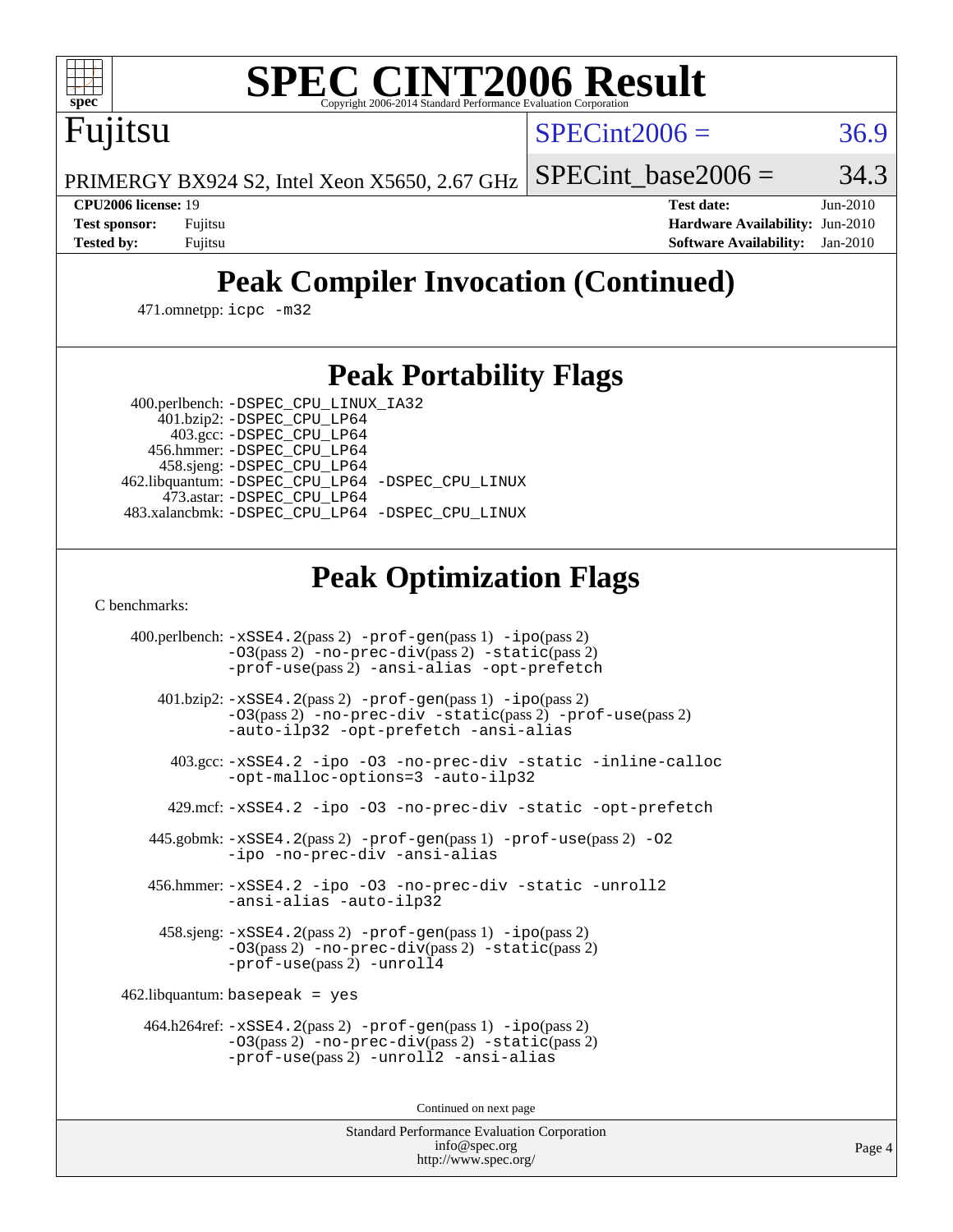

# **[SPEC CINT2006 Result](http://www.spec.org/auto/cpu2006/Docs/result-fields.html#SPECCINT2006Result)**

Fujitsu

 $SPECint2006 = 36.9$  $SPECint2006 = 36.9$ 

PRIMERGY BX924 S2, Intel Xeon X5650, 2.67 GHz SPECint base2006 =  $34.3$ 

**[CPU2006 license:](http://www.spec.org/auto/cpu2006/Docs/result-fields.html#CPU2006license)** 19 **[Test date:](http://www.spec.org/auto/cpu2006/Docs/result-fields.html#Testdate)** Jun-2010 **[Test sponsor:](http://www.spec.org/auto/cpu2006/Docs/result-fields.html#Testsponsor)** Fujitsu **[Hardware Availability:](http://www.spec.org/auto/cpu2006/Docs/result-fields.html#HardwareAvailability)** Jun-2010 **[Tested by:](http://www.spec.org/auto/cpu2006/Docs/result-fields.html#Testedby)** Fujitsu **[Software Availability:](http://www.spec.org/auto/cpu2006/Docs/result-fields.html#SoftwareAvailability)** Jan-2010

# **[Peak Compiler Invocation \(Continued\)](http://www.spec.org/auto/cpu2006/Docs/result-fields.html#PeakCompilerInvocation)**

471.omnetpp: [icpc -m32](http://www.spec.org/cpu2006/results/res2010q3/cpu2006-20100618-11744.flags.html#user_peakCXXLD471_omnetpp_intel_icpc_32bit_4e5a5ef1a53fd332b3c49e69c3330699)

# **[Peak Portability Flags](http://www.spec.org/auto/cpu2006/Docs/result-fields.html#PeakPortabilityFlags)**

400.perlbench: [-DSPEC\\_CPU\\_LINUX\\_IA32](http://www.spec.org/cpu2006/results/res2010q3/cpu2006-20100618-11744.flags.html#b400.perlbench_peakCPORTABILITY_DSPEC_CPU_LINUX_IA32)

 401.bzip2: [-DSPEC\\_CPU\\_LP64](http://www.spec.org/cpu2006/results/res2010q3/cpu2006-20100618-11744.flags.html#suite_peakPORTABILITY401_bzip2_DSPEC_CPU_LP64) 403.gcc: [-DSPEC\\_CPU\\_LP64](http://www.spec.org/cpu2006/results/res2010q3/cpu2006-20100618-11744.flags.html#suite_peakPORTABILITY403_gcc_DSPEC_CPU_LP64) 456.hmmer: [-DSPEC\\_CPU\\_LP64](http://www.spec.org/cpu2006/results/res2010q3/cpu2006-20100618-11744.flags.html#suite_peakPORTABILITY456_hmmer_DSPEC_CPU_LP64) 458.sjeng: [-DSPEC\\_CPU\\_LP64](http://www.spec.org/cpu2006/results/res2010q3/cpu2006-20100618-11744.flags.html#suite_peakPORTABILITY458_sjeng_DSPEC_CPU_LP64) 462.libquantum: [-DSPEC\\_CPU\\_LP64](http://www.spec.org/cpu2006/results/res2010q3/cpu2006-20100618-11744.flags.html#suite_peakPORTABILITY462_libquantum_DSPEC_CPU_LP64) [-DSPEC\\_CPU\\_LINUX](http://www.spec.org/cpu2006/results/res2010q3/cpu2006-20100618-11744.flags.html#b462.libquantum_peakCPORTABILITY_DSPEC_CPU_LINUX) 473.astar: [-DSPEC\\_CPU\\_LP64](http://www.spec.org/cpu2006/results/res2010q3/cpu2006-20100618-11744.flags.html#suite_peakPORTABILITY473_astar_DSPEC_CPU_LP64) 483.xalancbmk: [-DSPEC\\_CPU\\_LP64](http://www.spec.org/cpu2006/results/res2010q3/cpu2006-20100618-11744.flags.html#suite_peakPORTABILITY483_xalancbmk_DSPEC_CPU_LP64) [-DSPEC\\_CPU\\_LINUX](http://www.spec.org/cpu2006/results/res2010q3/cpu2006-20100618-11744.flags.html#b483.xalancbmk_peakCXXPORTABILITY_DSPEC_CPU_LINUX)

# **[Peak Optimization Flags](http://www.spec.org/auto/cpu2006/Docs/result-fields.html#PeakOptimizationFlags)**

[C benchmarks](http://www.spec.org/auto/cpu2006/Docs/result-fields.html#Cbenchmarks):

 400.perlbench: [-xSSE4.2](http://www.spec.org/cpu2006/results/res2010q3/cpu2006-20100618-11744.flags.html#user_peakPASS2_CFLAGSPASS2_LDCFLAGS400_perlbench_f-xSSE42_f91528193cf0b216347adb8b939d4107)(pass 2) [-prof-gen](http://www.spec.org/cpu2006/results/res2010q3/cpu2006-20100618-11744.flags.html#user_peakPASS1_CFLAGSPASS1_LDCFLAGS400_perlbench_prof_gen_e43856698f6ca7b7e442dfd80e94a8fc)(pass 1) [-ipo](http://www.spec.org/cpu2006/results/res2010q3/cpu2006-20100618-11744.flags.html#user_peakPASS2_CFLAGSPASS2_LDCFLAGS400_perlbench_f-ipo)(pass 2) [-O3](http://www.spec.org/cpu2006/results/res2010q3/cpu2006-20100618-11744.flags.html#user_peakPASS2_CFLAGSPASS2_LDCFLAGS400_perlbench_f-O3)(pass 2) [-no-prec-div](http://www.spec.org/cpu2006/results/res2010q3/cpu2006-20100618-11744.flags.html#user_peakPASS2_CFLAGSPASS2_LDCFLAGS400_perlbench_f-no-prec-div)(pass 2) [-static](http://www.spec.org/cpu2006/results/res2010q3/cpu2006-20100618-11744.flags.html#user_peakPASS2_CFLAGSPASS2_LDCFLAGS400_perlbench_f-static)(pass 2) [-prof-use](http://www.spec.org/cpu2006/results/res2010q3/cpu2006-20100618-11744.flags.html#user_peakPASS2_CFLAGSPASS2_LDCFLAGS400_perlbench_prof_use_bccf7792157ff70d64e32fe3e1250b55)(pass 2) [-ansi-alias](http://www.spec.org/cpu2006/results/res2010q3/cpu2006-20100618-11744.flags.html#user_peakCOPTIMIZE400_perlbench_f-ansi-alias) [-opt-prefetch](http://www.spec.org/cpu2006/results/res2010q3/cpu2006-20100618-11744.flags.html#user_peakCOPTIMIZE400_perlbench_f-opt-prefetch) 401.bzip2: [-xSSE4.2](http://www.spec.org/cpu2006/results/res2010q3/cpu2006-20100618-11744.flags.html#user_peakPASS2_CFLAGSPASS2_LDCFLAGS401_bzip2_f-xSSE42_f91528193cf0b216347adb8b939d4107)(pass 2) [-prof-gen](http://www.spec.org/cpu2006/results/res2010q3/cpu2006-20100618-11744.flags.html#user_peakPASS1_CFLAGSPASS1_LDCFLAGS401_bzip2_prof_gen_e43856698f6ca7b7e442dfd80e94a8fc)(pass 1) [-ipo](http://www.spec.org/cpu2006/results/res2010q3/cpu2006-20100618-11744.flags.html#user_peakPASS2_CFLAGSPASS2_LDCFLAGS401_bzip2_f-ipo)(pass 2) [-O3](http://www.spec.org/cpu2006/results/res2010q3/cpu2006-20100618-11744.flags.html#user_peakPASS2_CFLAGSPASS2_LDCFLAGS401_bzip2_f-O3)(pass 2) [-no-prec-div](http://www.spec.org/cpu2006/results/res2010q3/cpu2006-20100618-11744.flags.html#user_peakCOPTIMIZEPASS2_CFLAGSPASS2_LDCFLAGS401_bzip2_f-no-prec-div) [-static](http://www.spec.org/cpu2006/results/res2010q3/cpu2006-20100618-11744.flags.html#user_peakPASS2_CFLAGSPASS2_LDCFLAGS401_bzip2_f-static)(pass 2) [-prof-use](http://www.spec.org/cpu2006/results/res2010q3/cpu2006-20100618-11744.flags.html#user_peakPASS2_CFLAGSPASS2_LDCFLAGS401_bzip2_prof_use_bccf7792157ff70d64e32fe3e1250b55)(pass 2) [-auto-ilp32](http://www.spec.org/cpu2006/results/res2010q3/cpu2006-20100618-11744.flags.html#user_peakCOPTIMIZE401_bzip2_f-auto-ilp32) [-opt-prefetch](http://www.spec.org/cpu2006/results/res2010q3/cpu2006-20100618-11744.flags.html#user_peakCOPTIMIZE401_bzip2_f-opt-prefetch) [-ansi-alias](http://www.spec.org/cpu2006/results/res2010q3/cpu2006-20100618-11744.flags.html#user_peakCOPTIMIZE401_bzip2_f-ansi-alias) 403.gcc: [-xSSE4.2](http://www.spec.org/cpu2006/results/res2010q3/cpu2006-20100618-11744.flags.html#user_peakCOPTIMIZE403_gcc_f-xSSE42_f91528193cf0b216347adb8b939d4107) [-ipo](http://www.spec.org/cpu2006/results/res2010q3/cpu2006-20100618-11744.flags.html#user_peakCOPTIMIZE403_gcc_f-ipo) [-O3](http://www.spec.org/cpu2006/results/res2010q3/cpu2006-20100618-11744.flags.html#user_peakCOPTIMIZE403_gcc_f-O3) [-no-prec-div](http://www.spec.org/cpu2006/results/res2010q3/cpu2006-20100618-11744.flags.html#user_peakCOPTIMIZE403_gcc_f-no-prec-div) [-static](http://www.spec.org/cpu2006/results/res2010q3/cpu2006-20100618-11744.flags.html#user_peakCOPTIMIZE403_gcc_f-static) [-inline-calloc](http://www.spec.org/cpu2006/results/res2010q3/cpu2006-20100618-11744.flags.html#user_peakCOPTIMIZE403_gcc_f-inline-calloc) [-opt-malloc-options=3](http://www.spec.org/cpu2006/results/res2010q3/cpu2006-20100618-11744.flags.html#user_peakCOPTIMIZE403_gcc_f-opt-malloc-options_13ab9b803cf986b4ee62f0a5998c2238) [-auto-ilp32](http://www.spec.org/cpu2006/results/res2010q3/cpu2006-20100618-11744.flags.html#user_peakCOPTIMIZE403_gcc_f-auto-ilp32) 429.mcf: [-xSSE4.2](http://www.spec.org/cpu2006/results/res2010q3/cpu2006-20100618-11744.flags.html#user_peakCOPTIMIZE429_mcf_f-xSSE42_f91528193cf0b216347adb8b939d4107) [-ipo](http://www.spec.org/cpu2006/results/res2010q3/cpu2006-20100618-11744.flags.html#user_peakCOPTIMIZE429_mcf_f-ipo) [-O3](http://www.spec.org/cpu2006/results/res2010q3/cpu2006-20100618-11744.flags.html#user_peakCOPTIMIZE429_mcf_f-O3) [-no-prec-div](http://www.spec.org/cpu2006/results/res2010q3/cpu2006-20100618-11744.flags.html#user_peakCOPTIMIZE429_mcf_f-no-prec-div) [-static](http://www.spec.org/cpu2006/results/res2010q3/cpu2006-20100618-11744.flags.html#user_peakCOPTIMIZE429_mcf_f-static) [-opt-prefetch](http://www.spec.org/cpu2006/results/res2010q3/cpu2006-20100618-11744.flags.html#user_peakCOPTIMIZE429_mcf_f-opt-prefetch) 445.gobmk: [-xSSE4.2](http://www.spec.org/cpu2006/results/res2010q3/cpu2006-20100618-11744.flags.html#user_peakPASS2_CFLAGSPASS2_LDCFLAGS445_gobmk_f-xSSE42_f91528193cf0b216347adb8b939d4107)(pass 2) [-prof-gen](http://www.spec.org/cpu2006/results/res2010q3/cpu2006-20100618-11744.flags.html#user_peakPASS1_CFLAGSPASS1_LDCFLAGS445_gobmk_prof_gen_e43856698f6ca7b7e442dfd80e94a8fc)(pass 1) [-prof-use](http://www.spec.org/cpu2006/results/res2010q3/cpu2006-20100618-11744.flags.html#user_peakPASS2_CFLAGSPASS2_LDCFLAGS445_gobmk_prof_use_bccf7792157ff70d64e32fe3e1250b55)(pass 2) [-O2](http://www.spec.org/cpu2006/results/res2010q3/cpu2006-20100618-11744.flags.html#user_peakCOPTIMIZE445_gobmk_f-O2) [-ipo](http://www.spec.org/cpu2006/results/res2010q3/cpu2006-20100618-11744.flags.html#user_peakCOPTIMIZE445_gobmk_f-ipo) [-no-prec-div](http://www.spec.org/cpu2006/results/res2010q3/cpu2006-20100618-11744.flags.html#user_peakCOPTIMIZE445_gobmk_f-no-prec-div) [-ansi-alias](http://www.spec.org/cpu2006/results/res2010q3/cpu2006-20100618-11744.flags.html#user_peakCOPTIMIZE445_gobmk_f-ansi-alias) 456.hmmer: [-xSSE4.2](http://www.spec.org/cpu2006/results/res2010q3/cpu2006-20100618-11744.flags.html#user_peakCOPTIMIZE456_hmmer_f-xSSE42_f91528193cf0b216347adb8b939d4107) [-ipo](http://www.spec.org/cpu2006/results/res2010q3/cpu2006-20100618-11744.flags.html#user_peakCOPTIMIZE456_hmmer_f-ipo) [-O3](http://www.spec.org/cpu2006/results/res2010q3/cpu2006-20100618-11744.flags.html#user_peakCOPTIMIZE456_hmmer_f-O3) [-no-prec-div](http://www.spec.org/cpu2006/results/res2010q3/cpu2006-20100618-11744.flags.html#user_peakCOPTIMIZE456_hmmer_f-no-prec-div) [-static](http://www.spec.org/cpu2006/results/res2010q3/cpu2006-20100618-11744.flags.html#user_peakCOPTIMIZE456_hmmer_f-static) [-unroll2](http://www.spec.org/cpu2006/results/res2010q3/cpu2006-20100618-11744.flags.html#user_peakCOPTIMIZE456_hmmer_f-unroll_784dae83bebfb236979b41d2422d7ec2) [-ansi-alias](http://www.spec.org/cpu2006/results/res2010q3/cpu2006-20100618-11744.flags.html#user_peakCOPTIMIZE456_hmmer_f-ansi-alias) [-auto-ilp32](http://www.spec.org/cpu2006/results/res2010q3/cpu2006-20100618-11744.flags.html#user_peakCOPTIMIZE456_hmmer_f-auto-ilp32) 458.sjeng: [-xSSE4.2](http://www.spec.org/cpu2006/results/res2010q3/cpu2006-20100618-11744.flags.html#user_peakPASS2_CFLAGSPASS2_LDCFLAGS458_sjeng_f-xSSE42_f91528193cf0b216347adb8b939d4107)(pass 2) [-prof-gen](http://www.spec.org/cpu2006/results/res2010q3/cpu2006-20100618-11744.flags.html#user_peakPASS1_CFLAGSPASS1_LDCFLAGS458_sjeng_prof_gen_e43856698f6ca7b7e442dfd80e94a8fc)(pass 1) [-ipo](http://www.spec.org/cpu2006/results/res2010q3/cpu2006-20100618-11744.flags.html#user_peakPASS2_CFLAGSPASS2_LDCFLAGS458_sjeng_f-ipo)(pass 2) [-O3](http://www.spec.org/cpu2006/results/res2010q3/cpu2006-20100618-11744.flags.html#user_peakPASS2_CFLAGSPASS2_LDCFLAGS458_sjeng_f-O3)(pass 2) [-no-prec-div](http://www.spec.org/cpu2006/results/res2010q3/cpu2006-20100618-11744.flags.html#user_peakPASS2_CFLAGSPASS2_LDCFLAGS458_sjeng_f-no-prec-div)(pass 2) [-static](http://www.spec.org/cpu2006/results/res2010q3/cpu2006-20100618-11744.flags.html#user_peakPASS2_CFLAGSPASS2_LDCFLAGS458_sjeng_f-static)(pass 2) [-prof-use](http://www.spec.org/cpu2006/results/res2010q3/cpu2006-20100618-11744.flags.html#user_peakPASS2_CFLAGSPASS2_LDCFLAGS458_sjeng_prof_use_bccf7792157ff70d64e32fe3e1250b55)(pass 2) [-unroll4](http://www.spec.org/cpu2006/results/res2010q3/cpu2006-20100618-11744.flags.html#user_peakCOPTIMIZE458_sjeng_f-unroll_4e5e4ed65b7fd20bdcd365bec371b81f) 462.libquantum: basepeak = yes 464.h264ref: [-xSSE4.2](http://www.spec.org/cpu2006/results/res2010q3/cpu2006-20100618-11744.flags.html#user_peakPASS2_CFLAGSPASS2_LDCFLAGS464_h264ref_f-xSSE42_f91528193cf0b216347adb8b939d4107)(pass 2) [-prof-gen](http://www.spec.org/cpu2006/results/res2010q3/cpu2006-20100618-11744.flags.html#user_peakPASS1_CFLAGSPASS1_LDCFLAGS464_h264ref_prof_gen_e43856698f6ca7b7e442dfd80e94a8fc)(pass 1) [-ipo](http://www.spec.org/cpu2006/results/res2010q3/cpu2006-20100618-11744.flags.html#user_peakPASS2_CFLAGSPASS2_LDCFLAGS464_h264ref_f-ipo)(pass 2) [-O3](http://www.spec.org/cpu2006/results/res2010q3/cpu2006-20100618-11744.flags.html#user_peakPASS2_CFLAGSPASS2_LDCFLAGS464_h264ref_f-O3)(pass 2) [-no-prec-div](http://www.spec.org/cpu2006/results/res2010q3/cpu2006-20100618-11744.flags.html#user_peakPASS2_CFLAGSPASS2_LDCFLAGS464_h264ref_f-no-prec-div)(pass 2) [-static](http://www.spec.org/cpu2006/results/res2010q3/cpu2006-20100618-11744.flags.html#user_peakPASS2_CFLAGSPASS2_LDCFLAGS464_h264ref_f-static)(pass 2) [-prof-use](http://www.spec.org/cpu2006/results/res2010q3/cpu2006-20100618-11744.flags.html#user_peakPASS2_CFLAGSPASS2_LDCFLAGS464_h264ref_prof_use_bccf7792157ff70d64e32fe3e1250b55)(pass 2) [-unroll2](http://www.spec.org/cpu2006/results/res2010q3/cpu2006-20100618-11744.flags.html#user_peakCOPTIMIZE464_h264ref_f-unroll_784dae83bebfb236979b41d2422d7ec2) [-ansi-alias](http://www.spec.org/cpu2006/results/res2010q3/cpu2006-20100618-11744.flags.html#user_peakCOPTIMIZE464_h264ref_f-ansi-alias)

Continued on next page

Standard Performance Evaluation Corporation [info@spec.org](mailto:info@spec.org) <http://www.spec.org/>